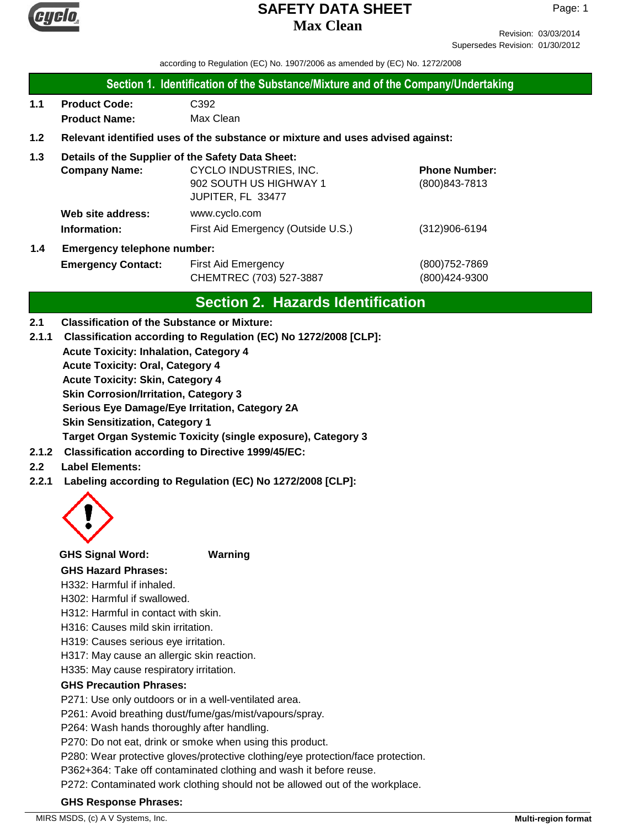

Revision: 03/03/2014 Supersedes Revision: 01/30/2012

according to Regulation (EC) No. 1907/2006 as amended by (EC) No. 1272/2008

#### **Section 1. Identification of the Substance/Mixture and of the Company/Undertaking**

**1.1 Product Code:** C392 **Product Name:** Max Clean

### **1.2 Relevant identified uses of the substance or mixture and uses advised against:**

#### **1.3 Details of the Supplier of the Safety Data Sheet:**

|     | <b>Company Name:</b>               | CYCLO INDUSTRIES, INC.             | <b>Phone Number:</b> |
|-----|------------------------------------|------------------------------------|----------------------|
|     |                                    | 902 SOUTH US HIGHWAY 1             | (800) 843-7813       |
|     |                                    | JUPITER, FL 33477                  |                      |
|     | Web site address:                  | www.cyclo.com                      |                      |
|     | Information:                       | First Aid Emergency (Outside U.S.) | $(312)906 - 6194$    |
| 1.4 | <b>Emergency telephone number:</b> |                                    |                      |

# **Emergency Contact:** First Aid Emergency **Emergency** (800)752-7869 CHEMTREC (703) 527-3887 (800)424-9300

# **Section 2. Hazards Identification**

#### **2.1 Classification of the Substance or Mixture:**

- **Acute Toxicity: Inhalation, Category 4 Acute Toxicity: Oral, Category 4 Acute Toxicity: Skin, Category 4 Skin Corrosion/Irritation, Category 3 Serious Eye Damage/Eye Irritation, Category 2A Skin Sensitization, Category 1 Target Organ Systemic Toxicity (single exposure), Category 3 2.1.1 Classification according to Regulation (EC) No 1272/2008 [CLP]:**
- **2.1.2 Classification according to Directive 1999/45/EC:**

## **2.2 Label Elements:**

**2.2.1 Labeling according to Regulation (EC) No 1272/2008 [CLP]:**



#### **GHS Signal Word: Warning**

#### **GHS Hazard Phrases:**

H332: Harmful if inhaled.

H302: Harmful if swallowed.

H312: Harmful in contact with skin.

- H316: Causes mild skin irritation.
- H319: Causes serious eye irritation.
- H317: May cause an allergic skin reaction.

H335: May cause respiratory irritation.

#### **GHS Precaution Phrases:**

P271: Use only outdoors or in a well-ventilated area.

P261: Avoid breathing dust/fume/gas/mist/vapours/spray.

P264: Wash hands thoroughly after handling.

P270: Do not eat, drink or smoke when using this product.

P280: Wear protective gloves/protective clothing/eye protection/face protection.

P362+364: Take off contaminated clothing and wash it before reuse.

P272: Contaminated work clothing should not be allowed out of the workplace.

#### **GHS Response Phrases:**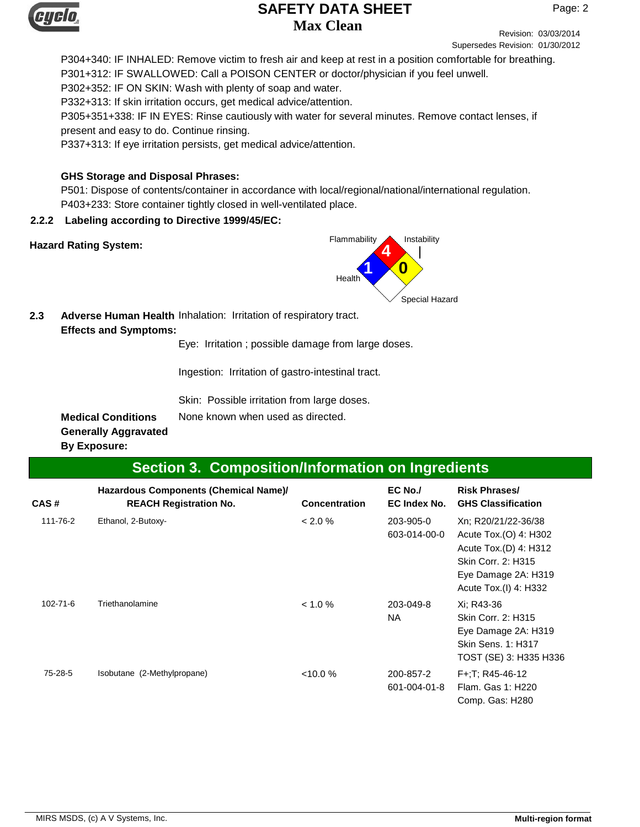

Revision: 03/03/2014 Supersedes Revision: 01/30/2012

P304+340: IF INHALED: Remove victim to fresh air and keep at rest in a position comfortable for breathing. P301+312: IF SWALLOWED: Call a POISON CENTER or doctor/physician if you feel unwell. P302+352: IF ON SKIN: Wash with plenty of soap and water. P332+313: If skin irritation occurs, get medical advice/attention. P305+351+338: IF IN EYES: Rinse cautiously with water for several minutes. Remove contact lenses, if present and easy to do. Continue rinsing. P337+313: If eye irritation persists, get medical advice/attention.

#### **GHS Storage and Disposal Phrases:**

P501: Dispose of contents/container in accordance with local/regional/national/international regulation. P403+233: Store container tightly closed in well-ventilated place.

#### **2.2.2 Labeling according to Directive 1999/45/EC:**



**2.3** Adverse Human Health Inhalation: Irritation of respiratory tract. **Effects and Symptoms:**

Eye: Irritation ; possible damage from large doses.

Ingestion: Irritation of gastro-intestinal tract.

Skin: Possible irritation from large doses.

**Medical Conditions** None known when used as directed.

**Generally Aggravated By Exposure:**

# **Section 3. Composition/Information on Ingredients**

| CAS#     | Hazardous Components (Chemical Name)/<br><b>REACH Registration No.</b> | <b>Concentration</b> | EC No./<br>EC Index No.   | <b>Risk Phrases/</b><br><b>GHS Classification</b>                                                                                           |
|----------|------------------------------------------------------------------------|----------------------|---------------------------|---------------------------------------------------------------------------------------------------------------------------------------------|
| 111-76-2 | Ethanol, 2-Butoxy-                                                     | $< 2.0 \%$           | 203-905-0<br>603-014-00-0 | Xn; R20/21/22-36/38<br>Acute Tox.(O) 4: H302<br>Acute Tox.(D) 4: H312<br>Skin Corr. 2: H315<br>Eye Damage 2A: H319<br>Acute Tox.(I) 4: H332 |
| 102-71-6 | Triethanolamine                                                        | $< 1.0 \%$           | 203-049-8<br>NA.          | Xi: R43-36<br>Skin Corr. 2: H315<br>Eye Damage 2A: H319<br>Skin Sens. 1: H317<br>TOST (SE) 3: H335 H336                                     |
| 75-28-5  | Isobutane (2-Methylpropane)                                            | $< 10.0 \%$          | 200-857-2<br>601-004-01-8 | F+:T: R45-46-12<br>Flam. Gas 1: H220<br>Comp. Gas: H280                                                                                     |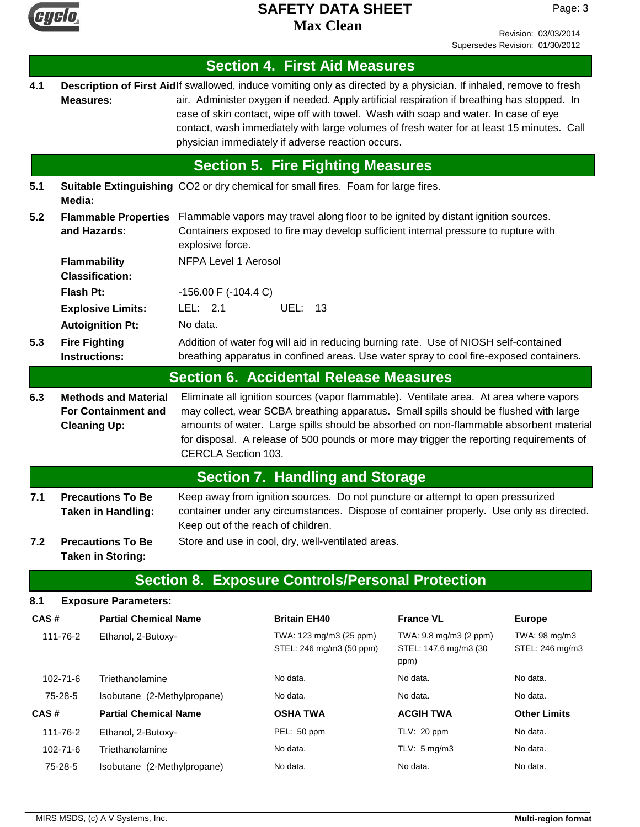

Page: 3

|                                                              |                                                                                                            |                                              |                                                                                                                                                                                 | <b>Section 4. First Aid Measures</b>                                                                                                                                                                                                                                                                                                                                                                                                                       |                                                         |                                  |  |
|--------------------------------------------------------------|------------------------------------------------------------------------------------------------------------|----------------------------------------------|---------------------------------------------------------------------------------------------------------------------------------------------------------------------------------|------------------------------------------------------------------------------------------------------------------------------------------------------------------------------------------------------------------------------------------------------------------------------------------------------------------------------------------------------------------------------------------------------------------------------------------------------------|---------------------------------------------------------|----------------------------------|--|
| 4.1                                                          | <b>Measures:</b>                                                                                           |                                              |                                                                                                                                                                                 | Description of First Aidlf swallowed, induce vomiting only as directed by a physician. If inhaled, remove to fresh<br>air. Administer oxygen if needed. Apply artificial respiration if breathing has stopped. In<br>case of skin contact, wipe off with towel. Wash with soap and water. In case of eye<br>contact, wash immediately with large volumes of fresh water for at least 15 minutes. Call<br>physician immediately if adverse reaction occurs. |                                                         |                                  |  |
|                                                              |                                                                                                            |                                              |                                                                                                                                                                                 | <b>Section 5. Fire Fighting Measures</b>                                                                                                                                                                                                                                                                                                                                                                                                                   |                                                         |                                  |  |
| 5.1                                                          | Suitable Extinguishing CO2 or dry chemical for small fires. Foam for large fires.<br>Media:                |                                              |                                                                                                                                                                                 |                                                                                                                                                                                                                                                                                                                                                                                                                                                            |                                                         |                                  |  |
| 5.2<br>and Hazards:                                          |                                                                                                            | <b>Flammable Properties</b>                  | explosive force.                                                                                                                                                                | Flammable vapors may travel along floor to be ignited by distant ignition sources.<br>Containers exposed to fire may develop sufficient internal pressure to rupture with                                                                                                                                                                                                                                                                                  |                                                         |                                  |  |
|                                                              |                                                                                                            | Flammability<br><b>Classification:</b>       | <b>NFPA Level 1 Aerosol</b>                                                                                                                                                     |                                                                                                                                                                                                                                                                                                                                                                                                                                                            |                                                         |                                  |  |
|                                                              | <b>Flash Pt:</b>                                                                                           |                                              | $-156.00$ F $(-104.4$ C)                                                                                                                                                        |                                                                                                                                                                                                                                                                                                                                                                                                                                                            |                                                         |                                  |  |
|                                                              |                                                                                                            | <b>Explosive Limits:</b>                     | LEL: 2.1                                                                                                                                                                        | <b>UEL: 13</b>                                                                                                                                                                                                                                                                                                                                                                                                                                             |                                                         |                                  |  |
|                                                              |                                                                                                            | <b>Autoignition Pt:</b>                      | No data.                                                                                                                                                                        |                                                                                                                                                                                                                                                                                                                                                                                                                                                            |                                                         |                                  |  |
| 5.3                                                          |                                                                                                            | <b>Fire Fighting</b><br><b>Instructions:</b> | Addition of water fog will aid in reducing burning rate. Use of NIOSH self-contained<br>breathing apparatus in confined areas. Use water spray to cool fire-exposed containers. |                                                                                                                                                                                                                                                                                                                                                                                                                                                            |                                                         |                                  |  |
|                                                              |                                                                                                            |                                              |                                                                                                                                                                                 | <b>Section 6. Accidental Release Measures</b>                                                                                                                                                                                                                                                                                                                                                                                                              |                                                         |                                  |  |
| <b>For Containment and</b><br><b>Cleaning Up:</b>            |                                                                                                            |                                              | <b>CERCLA Section 103.</b>                                                                                                                                                      | may collect, wear SCBA breathing apparatus. Small spills should be flushed with large<br>amounts of water. Large spills should be absorbed on non-flammable absorbent material<br>for disposal. A release of 500 pounds or more may trigger the reporting requirements of                                                                                                                                                                                  |                                                         |                                  |  |
|                                                              |                                                                                                            |                                              |                                                                                                                                                                                 | <b>Section 7. Handling and Storage</b>                                                                                                                                                                                                                                                                                                                                                                                                                     |                                                         |                                  |  |
| 7.1<br><b>Precautions To Be</b><br><b>Taken in Handling:</b> |                                                                                                            | Keep out of the reach of children.           | Keep away from ignition sources. Do not puncture or attempt to open pressurized<br>container under any circumstances. Dispose of container properly. Use only as directed.      |                                                                                                                                                                                                                                                                                                                                                                                                                                                            |                                                         |                                  |  |
| 7.2                                                          | <b>Precautions To Be</b><br>Store and use in cool, dry, well-ventilated areas.<br><b>Taken in Storing:</b> |                                              |                                                                                                                                                                                 |                                                                                                                                                                                                                                                                                                                                                                                                                                                            |                                                         |                                  |  |
|                                                              |                                                                                                            |                                              |                                                                                                                                                                                 | <b>Section 8. Exposure Controls/Personal Protection</b>                                                                                                                                                                                                                                                                                                                                                                                                    |                                                         |                                  |  |
| 8.1                                                          |                                                                                                            | <b>Exposure Parameters:</b>                  |                                                                                                                                                                                 |                                                                                                                                                                                                                                                                                                                                                                                                                                                            |                                                         |                                  |  |
| CAS#                                                         |                                                                                                            | <b>Partial Chemical Name</b>                 |                                                                                                                                                                                 | <b>Britain EH40</b>                                                                                                                                                                                                                                                                                                                                                                                                                                        | <b>France VL</b>                                        | <b>Europe</b>                    |  |
|                                                              | 111-76-2                                                                                                   | Ethanol, 2-Butoxy-                           |                                                                                                                                                                                 | TWA: 123 mg/m3 (25 ppm)<br>STEL: 246 mg/m3 (50 ppm)                                                                                                                                                                                                                                                                                                                                                                                                        | TWA: 9.8 mg/m3 (2 ppm)<br>STEL: 147.6 mg/m3 (30<br>ppm) | TWA: 98 mg/m3<br>STEL: 246 mg/m3 |  |
| 102-71-6                                                     |                                                                                                            | Triethanolamine                              |                                                                                                                                                                                 | No data.                                                                                                                                                                                                                                                                                                                                                                                                                                                   | No data.                                                | No data.                         |  |
|                                                              | 75-28-5                                                                                                    | Isobutane (2-Methylpropane)                  |                                                                                                                                                                                 | No data.                                                                                                                                                                                                                                                                                                                                                                                                                                                   | No data.                                                | No data.                         |  |
| CAS#                                                         |                                                                                                            | <b>Partial Chemical Name</b>                 |                                                                                                                                                                                 | <b>OSHA TWA</b>                                                                                                                                                                                                                                                                                                                                                                                                                                            | <b>ACGIH TWA</b>                                        | <b>Other Limits</b>              |  |
|                                                              | 111-76-2                                                                                                   | Ethanol, 2-Butoxy-                           |                                                                                                                                                                                 | PEL: 50 ppm                                                                                                                                                                                                                                                                                                                                                                                                                                                | TLV: 20 ppm                                             | No data.                         |  |
|                                                              | 102-71-6                                                                                                   | Triethanolamine                              |                                                                                                                                                                                 | No data.                                                                                                                                                                                                                                                                                                                                                                                                                                                   | TLV: $5 \text{ mg/m}$ 3                                 | No data.                         |  |
|                                                              | 75-28-5                                                                                                    | Isobutane (2-Methylpropane)                  |                                                                                                                                                                                 | No data.                                                                                                                                                                                                                                                                                                                                                                                                                                                   | No data.                                                | No data.                         |  |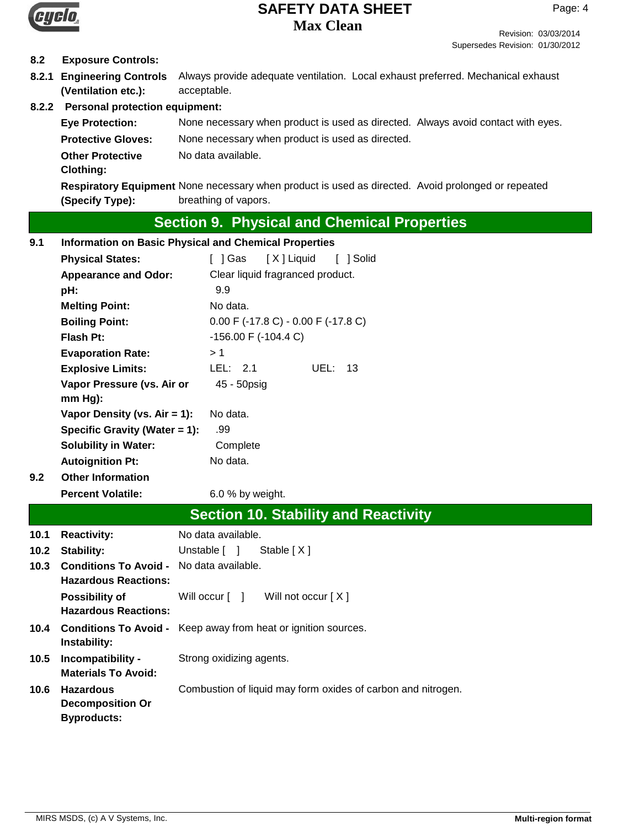

#### Revision: 03/03/2014 Supersedes Revision: 01/30/2012

## **8.2 Exposure Controls:**

**8.2.1 Engineering Controls** Always provide adequate ventilation. Local exhaust preferred. Mechanical exhaust acceptable. **(Ventilation etc.):**

## **8.2.2 Personal protection equipment:**

**Eye Protection:** None necessary when product is used as directed. Always avoid contact with eyes. **Protective Gloves:** None necessary when product is used as directed. **Other Protective** No data available. **Clothing:**

Respiratory Equipment None necessary when product is used as directed. Avoid prolonged or repeated breathing of vapors. **(Specify Type):**

# **Section 9. Physical and Chemical Properties**

| 9.1                                                     | <b>Information on Basic Physical and Chemical Properties</b>      |                                                                       |  |  |
|---------------------------------------------------------|-------------------------------------------------------------------|-----------------------------------------------------------------------|--|--|
|                                                         | <b>Physical States:</b>                                           | $\lceil$   Gas<br>[X] Liquid<br>[ ] Solid                             |  |  |
|                                                         | <b>Appearance and Odor:</b>                                       | Clear liquid fragranced product.                                      |  |  |
|                                                         | pH:                                                               | 9.9                                                                   |  |  |
|                                                         | <b>Melting Point:</b>                                             | No data.                                                              |  |  |
|                                                         | <b>Boiling Point:</b>                                             | $0.00$ F (-17.8 C) - 0.00 F (-17.8 C)                                 |  |  |
|                                                         | <b>Flash Pt:</b>                                                  | $-156.00$ F ( $-104.4$ C)                                             |  |  |
|                                                         | <b>Evaporation Rate:</b>                                          | >1                                                                    |  |  |
|                                                         | <b>Explosive Limits:</b>                                          | LEL: 2.1<br><b>UEL: 13</b>                                            |  |  |
|                                                         | Vapor Pressure (vs. Air or                                        | 45 - 50psig                                                           |  |  |
|                                                         | $mm Hg$ :                                                         |                                                                       |  |  |
|                                                         | Vapor Density (vs. $Air = 1$ ):                                   | No data.                                                              |  |  |
|                                                         | Specific Gravity (Water = 1):                                     | .99                                                                   |  |  |
|                                                         | <b>Solubility in Water:</b>                                       | Complete                                                              |  |  |
|                                                         | <b>Autoignition Pt:</b>                                           | No data.                                                              |  |  |
| 9.2                                                     | <b>Other Information</b>                                          |                                                                       |  |  |
|                                                         | <b>Percent Volatile:</b>                                          | 6.0 % by weight.                                                      |  |  |
|                                                         |                                                                   | <b>Section 10. Stability and Reactivity</b>                           |  |  |
| 10.1                                                    | <b>Reactivity:</b>                                                | No data available.                                                    |  |  |
| 10.2                                                    | <b>Stability:</b><br>Unstable [ ]<br>Stable $[X]$                 |                                                                       |  |  |
| <b>Conditions To Avoid - No data available.</b><br>10.3 |                                                                   |                                                                       |  |  |
|                                                         | <b>Hazardous Reactions:</b>                                       |                                                                       |  |  |
|                                                         | Possibility of<br><b>Hazardous Reactions:</b>                     | Will not occur [X]<br>Will occur [ ]                                  |  |  |
|                                                         |                                                                   |                                                                       |  |  |
| 10.4                                                    | Instability:                                                      | <b>Conditions To Avoid -</b> Keep away from heat or ignition sources. |  |  |
| 10.5                                                    | Incompatibility -                                                 | Strong oxidizing agents.                                              |  |  |
|                                                         | <b>Materials To Avoid:</b>                                        |                                                                       |  |  |
|                                                         |                                                                   |                                                                       |  |  |
| 10.6                                                    | <b>Hazardous</b><br><b>Decomposition Or</b><br><b>Byproducts:</b> | Combustion of liquid may form oxides of carbon and nitrogen.          |  |  |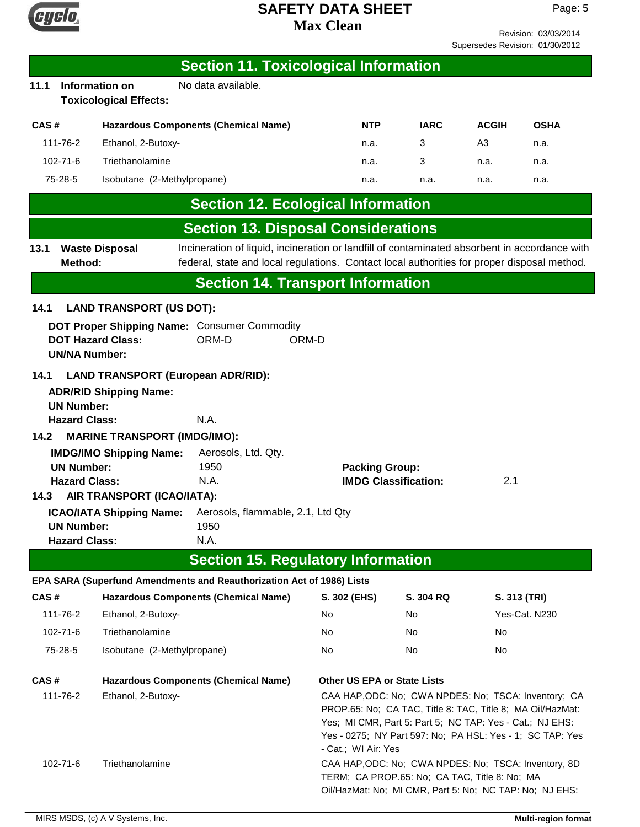

Revision: 03/03/2014 Supersedes Revision: 01/30/2012

|                                                                                                                    |                                                                                                                                 |                                     | <b>Section 11. Toxicological Information</b>                                                                                                                                                 |                                    |                                                      |             |                                                                                                                                                                  |                                                                                                                   |
|--------------------------------------------------------------------------------------------------------------------|---------------------------------------------------------------------------------------------------------------------------------|-------------------------------------|----------------------------------------------------------------------------------------------------------------------------------------------------------------------------------------------|------------------------------------|------------------------------------------------------|-------------|------------------------------------------------------------------------------------------------------------------------------------------------------------------|-------------------------------------------------------------------------------------------------------------------|
| 11.1                                                                                                               | No data available.<br>Information on<br><b>Toxicological Effects:</b>                                                           |                                     |                                                                                                                                                                                              |                                    |                                                      |             |                                                                                                                                                                  |                                                                                                                   |
| CAS#                                                                                                               |                                                                                                                                 |                                     | <b>Hazardous Components (Chemical Name)</b>                                                                                                                                                  |                                    | <b>NTP</b>                                           | <b>IARC</b> | <b>ACGIH</b>                                                                                                                                                     | <b>OSHA</b>                                                                                                       |
|                                                                                                                    | 111-76-2                                                                                                                        | Ethanol, 2-Butoxy-                  |                                                                                                                                                                                              | n.a.                               |                                                      | 3           | A <sub>3</sub>                                                                                                                                                   | n.a.                                                                                                              |
|                                                                                                                    | 102-71-6                                                                                                                        | Triethanolamine                     |                                                                                                                                                                                              | n.a.                               |                                                      | 3           | n.a.                                                                                                                                                             | n.a.                                                                                                              |
|                                                                                                                    | 75-28-5                                                                                                                         | Isobutane (2-Methylpropane)         |                                                                                                                                                                                              | n.a.                               |                                                      | n.a.        | n.a.                                                                                                                                                             | n.a.                                                                                                              |
|                                                                                                                    |                                                                                                                                 |                                     | <b>Section 12. Ecological Information</b>                                                                                                                                                    |                                    |                                                      |             |                                                                                                                                                                  |                                                                                                                   |
|                                                                                                                    |                                                                                                                                 |                                     | <b>Section 13. Disposal Considerations</b>                                                                                                                                                   |                                    |                                                      |             |                                                                                                                                                                  |                                                                                                                   |
| 13.1                                                                                                               | Method:                                                                                                                         | <b>Waste Disposal</b>               | Incineration of liquid, incineration or landfill of contaminated absorbent in accordance with<br>federal, state and local regulations. Contact local authorities for proper disposal method. |                                    |                                                      |             |                                                                                                                                                                  |                                                                                                                   |
|                                                                                                                    |                                                                                                                                 |                                     | <b>Section 14. Transport Information</b>                                                                                                                                                     |                                    |                                                      |             |                                                                                                                                                                  |                                                                                                                   |
| 14.1                                                                                                               |                                                                                                                                 | <b>LAND TRANSPORT (US DOT):</b>     |                                                                                                                                                                                              |                                    |                                                      |             |                                                                                                                                                                  |                                                                                                                   |
| DOT Proper Shipping Name: Consumer Commodity<br>ORM-D<br><b>DOT Hazard Class:</b><br>ORM-D<br><b>UN/NA Number:</b> |                                                                                                                                 |                                     |                                                                                                                                                                                              |                                    |                                                      |             |                                                                                                                                                                  |                                                                                                                   |
| 14.1                                                                                                               | <b>LAND TRANSPORT (European ADR/RID):</b><br><b>ADR/RID Shipping Name:</b><br><b>UN Number:</b><br>N.A.<br><b>Hazard Class:</b> |                                     |                                                                                                                                                                                              |                                    |                                                      |             |                                                                                                                                                                  |                                                                                                                   |
| 14.2                                                                                                               |                                                                                                                                 | <b>MARINE TRANSPORT (IMDG/IMO):</b> |                                                                                                                                                                                              |                                    |                                                      |             |                                                                                                                                                                  |                                                                                                                   |
|                                                                                                                    |                                                                                                                                 | <b>IMDG/IMO Shipping Name:</b>      | Aerosols, Ltd. Qty.                                                                                                                                                                          |                                    |                                                      |             |                                                                                                                                                                  |                                                                                                                   |
|                                                                                                                    | <b>UN Number:</b><br><b>Hazard Class:</b>                                                                                       |                                     | 1950<br>N.A.                                                                                                                                                                                 |                                    | <b>Packing Group:</b><br><b>IMDG Classification:</b> |             | 2.1                                                                                                                                                              |                                                                                                                   |
| 14.3                                                                                                               |                                                                                                                                 | AIR TRANSPORT (ICAO/IATA):          |                                                                                                                                                                                              |                                    |                                                      |             |                                                                                                                                                                  |                                                                                                                   |
| <b>ICAO/IATA Shipping Name:</b><br><b>UN Number:</b><br><b>Hazard Class:</b>                                       |                                                                                                                                 |                                     | Aerosols, flammable, 2.1, Ltd Qty<br>1950<br>N.A.                                                                                                                                            |                                    |                                                      |             |                                                                                                                                                                  |                                                                                                                   |
|                                                                                                                    |                                                                                                                                 |                                     | <b>Section 15. Regulatory Information</b>                                                                                                                                                    |                                    |                                                      |             |                                                                                                                                                                  |                                                                                                                   |
|                                                                                                                    |                                                                                                                                 |                                     | EPA SARA (Superfund Amendments and Reauthorization Act of 1986) Lists                                                                                                                        |                                    |                                                      |             |                                                                                                                                                                  |                                                                                                                   |
| CAS#                                                                                                               |                                                                                                                                 |                                     | <b>Hazardous Components (Chemical Name)</b>                                                                                                                                                  | S. 302 (EHS)                       |                                                      | S. 304 RQ   | S. 313 (TRI)                                                                                                                                                     |                                                                                                                   |
|                                                                                                                    | 111-76-2                                                                                                                        | Ethanol, 2-Butoxy-                  |                                                                                                                                                                                              | No                                 |                                                      | No          |                                                                                                                                                                  | Yes-Cat. N230                                                                                                     |
|                                                                                                                    | 102-71-6                                                                                                                        | Triethanolamine                     |                                                                                                                                                                                              | No                                 |                                                      | No          | No                                                                                                                                                               |                                                                                                                   |
|                                                                                                                    | 75-28-5                                                                                                                         | Isobutane (2-Methylpropane)         |                                                                                                                                                                                              | No                                 |                                                      | No.         | No.                                                                                                                                                              |                                                                                                                   |
| CAS#                                                                                                               |                                                                                                                                 |                                     | <b>Hazardous Components (Chemical Name)</b>                                                                                                                                                  | <b>Other US EPA or State Lists</b> |                                                      |             |                                                                                                                                                                  |                                                                                                                   |
|                                                                                                                    | 111-76-2                                                                                                                        | Ethanol, 2-Butoxy-                  |                                                                                                                                                                                              | - Cat.; WI Air: Yes                |                                                      |             | PROP.65: No; CA TAC, Title 8: TAC, Title 8; MA Oil/HazMat:<br>Yes; MI CMR, Part 5: Part 5; NC TAP: Yes - Cat.; NJ EHS:                                           | CAA HAP, ODC: No; CWA NPDES: No; TSCA: Inventory; CA<br>Yes - 0275; NY Part 597: No; PA HSL: Yes - 1; SC TAP: Yes |
|                                                                                                                    | 102-71-6                                                                                                                        | Triethanolamine                     |                                                                                                                                                                                              |                                    |                                                      |             | CAA HAP, ODC: No; CWA NPDES: No; TSCA: Inventory, 8D<br>TERM; CA PROP.65: No; CA TAC, Title 8: No; MA<br>Oil/HazMat: No; MI CMR, Part 5: No; NC TAP: No; NJ EHS: |                                                                                                                   |